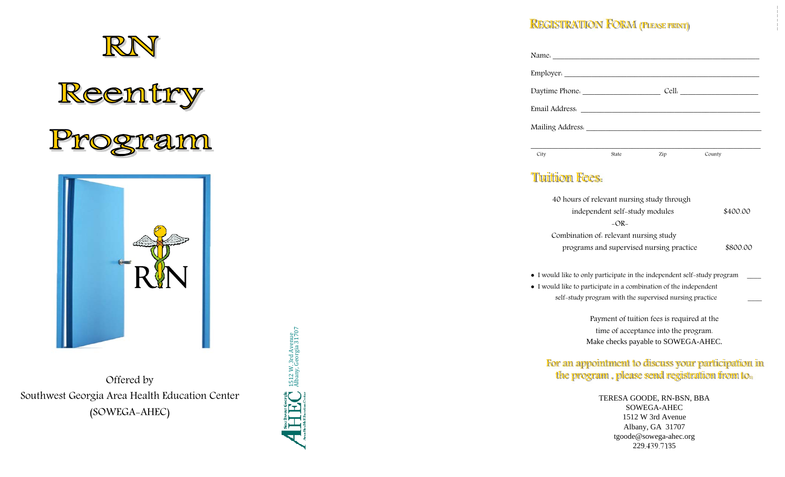# Reentry



Offered by Southwest Georgia Area Health Education Center (SOWEGA-AHEC)



### REGISTRATION FORM (PLEASE PRINT)

| Employer.      |       |     |        |  |
|----------------|-------|-----|--------|--|
| Daytime Phone. |       |     |        |  |
| Email Address. |       |     |        |  |
|                |       |     |        |  |
|                |       |     |        |  |
| City           | State | Zip | County |  |

### Tuition Fees:

| 40 hours of relevant nursing study through |          |
|--------------------------------------------|----------|
| independent self-study modules             | \$400.00 |
| $-OR-$                                     |          |
| Combination of relevant nursing study      |          |
| programs and supervised nursing practice   | \$800.00 |
|                                            |          |

• I would like to only participate in the independent self-study program  $\qquad \qquad \qquad$ 

 I would like to participate in a combination of the independent self-study program with the supervised nursing practice

> Payment of tuition fees is required at the time of acceptance into the program. Make checks payable to SOWEGA-AHEC.

For an appointment to discuss your participation in the program, please send registration from to.

> TERESA GOODE, RN-BSN, BBA SOWEGA-AHEC 1512 W 3rd Avenue Albany, GA 31707 tgoode@sowega-ahec.org 229.439.7185